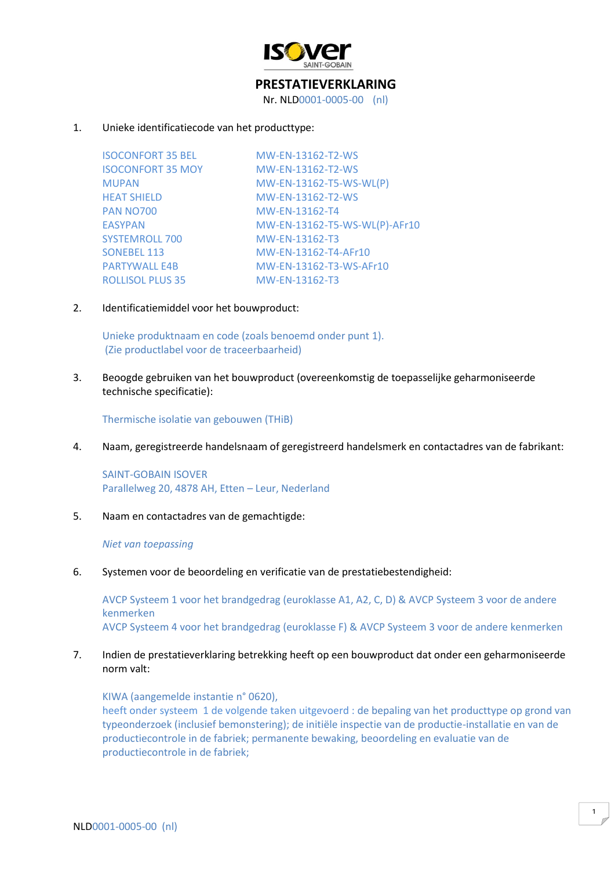

# **PRESTATIEVERKLARING**

Nr. NLD0001-0005-00 (nl)

## 1. Unieke identificatiecode van het producttype:

ISOCONFORT 35 BEL MW-EN-13162-T2-WS ISOCONFORT 35 MOY MW-EN-13162-T2-WS MUPAN MW-EN-13162-T5-WS-WL(P) HEAT SHIELD MW-EN-13162-T2-WS PAN NO700 MW-EN-13162-T4 EASYPAN MW-EN-13162-T5-WS-WL(P)-AFr10 SYSTEMROLL 700 MW-EN-13162-T3 SONEBEL 113 MW-EN-13162-T4-AFr10 PARTYWALL E4B MW-EN-13162-T3-WS-AFr10 ROLLISOL PLUS 35 MW-EN-13162-T3

2. Identificatiemiddel voor het bouwproduct:

Unieke produktnaam en code (zoals benoemd onder punt 1). (Zie productlabel voor de traceerbaarheid)

3. Beoogde gebruiken van het bouwproduct (overeenkomstig de toepasselijke geharmoniseerde technische specificatie):

Thermische isolatie van gebouwen (THiB)

4. Naam, geregistreerde handelsnaam of geregistreerd handelsmerk en contactadres van de fabrikant:

SAINT-GOBAIN ISOVER Parallelweg 20, 4878 AH, Etten – Leur, Nederland

5. Naam en contactadres van de gemachtigde:

#### *Niet van toepassing*

6. Systemen voor de beoordeling en verificatie van de prestatiebestendigheid:

AVCP Systeem 1 voor het brandgedrag (euroklasse A1, A2, C, D) & AVCP Systeem 3 voor de andere kenmerken AVCP Systeem 4 voor het brandgedrag (euroklasse F) & AVCP Systeem 3 voor de andere kenmerken

# 7. Indien de prestatieverklaring betrekking heeft op een bouwproduct dat onder een geharmoniseerde norm valt:

KIWA (aangemelde instantie n° 0620), heeft onder systeem 1 de volgende taken uitgevoerd : de bepaling van het producttype op grond van typeonderzoek (inclusief bemonstering); de initiële inspectie van de productie-installatie en van de productiecontrole in de fabriek; permanente bewaking, beoordeling en evaluatie van de productiecontrole in de fabriek;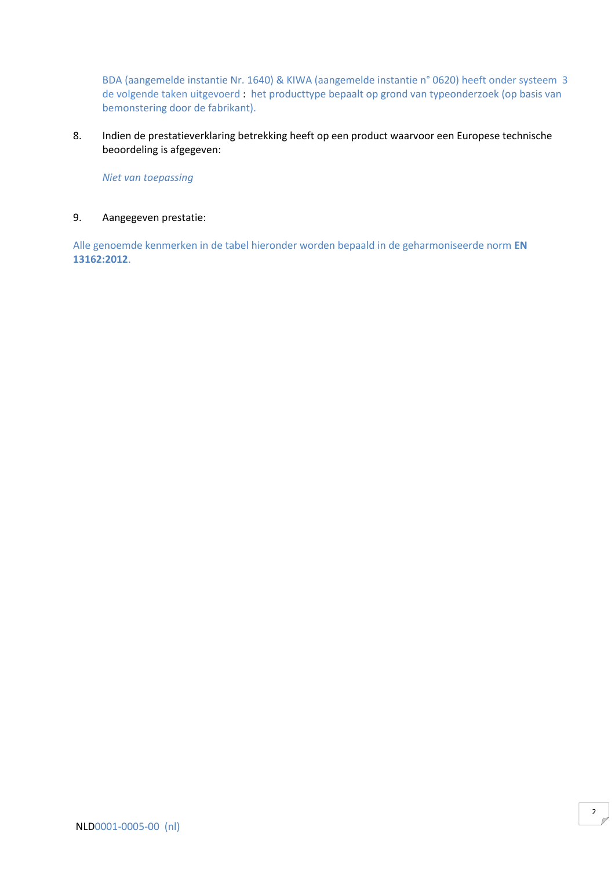BDA (aangemelde instantie Nr. 1640) & KIWA (aangemelde instantie n° 0620) heeft onder systeem 3 de volgende taken uitgevoerd : het producttype bepaalt op grond van typeonderzoek (op basis van bemonstering door de fabrikant).

8. Indien de prestatieverklaring betrekking heeft op een product waarvoor een Europese technische beoordeling is afgegeven:

*Niet van toepassing*

### 9. Aangegeven prestatie:

Alle genoemde kenmerken in de tabel hieronder worden bepaald in de geharmoniseerde norm **EN 13162:2012**.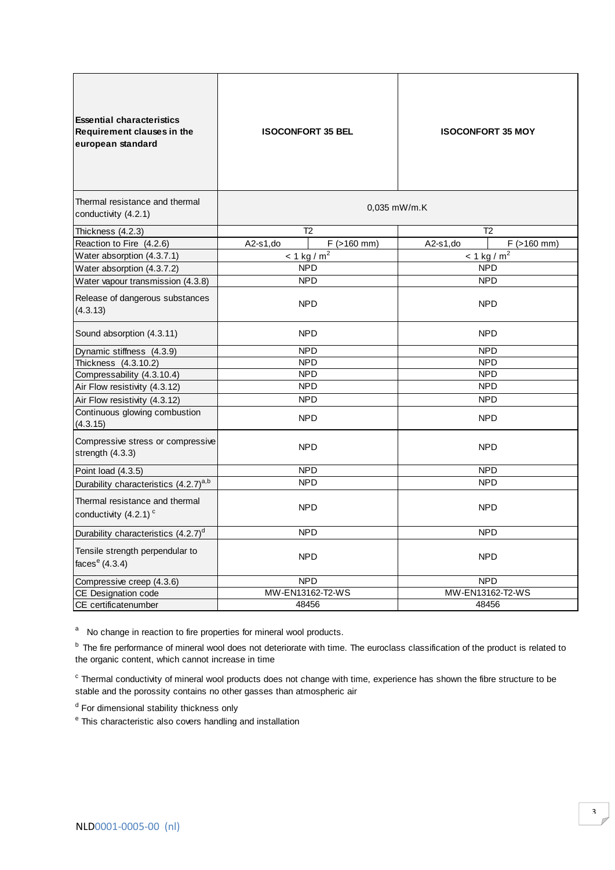| <b>Essential characteristics</b><br>Requirement clauses in the<br>european standard | <b>ISOCONFORT 35 BEL</b> |                           | <b>ISOCONFORT 35 MOY</b> |                           |
|-------------------------------------------------------------------------------------|--------------------------|---------------------------|--------------------------|---------------------------|
| Thermal resistance and thermal<br>conductivity (4.2.1)                              | $0.035$ mW/m.K           |                           |                          |                           |
| Thickness (4.2.3)                                                                   |                          | T <sub>2</sub>            | T <sub>2</sub>           |                           |
| Reaction to Fire (4.2.6)                                                            | $A2-s1$ , do             | $F$ ( $>160$ mm)          | $A2-s1$ , do             | $F$ ( $>160$ mm)          |
| Water absorption (4.3.7.1)                                                          |                          | $< 1$ kg / m <sup>2</sup> |                          | $< 1$ kg / m <sup>2</sup> |
| Water absorption (4.3.7.2)                                                          |                          | <b>NPD</b>                |                          | <b>NPD</b>                |
| Water vapour transmission (4.3.8)                                                   | <b>NPD</b>               |                           | <b>NPD</b>               |                           |
| Release of dangerous substances<br>(4.3.13)                                         | <b>NPD</b>               |                           | <b>NPD</b>               |                           |
| Sound absorption (4.3.11)                                                           | <b>NPD</b>               |                           | <b>NPD</b>               |                           |
| Dynamic stiffness (4.3.9)                                                           | <b>NPD</b>               |                           | <b>NPD</b>               |                           |
| Thickness (4.3.10.2)                                                                | <b>NPD</b>               |                           | <b>NPD</b>               |                           |
| Compressability (4.3.10.4)                                                          | <b>NPD</b>               |                           | <b>NPD</b>               |                           |
| Air Flow resistivity (4.3.12)                                                       | <b>NPD</b>               |                           | <b>NPD</b>               |                           |
| Air Flow resistivity (4.3.12)                                                       | <b>NPD</b>               |                           | <b>NPD</b>               |                           |
| Continuous glowing combustion<br>(4.3.15)                                           | <b>NPD</b>               |                           | <b>NPD</b>               |                           |
| Compressive stress or compressive<br>strength (4.3.3)                               | <b>NPD</b>               |                           | <b>NPD</b>               |                           |
| Point load (4.3.5)                                                                  | <b>NPD</b>               |                           | <b>NPD</b>               |                           |
| Durability characteristics (4.2.7) <sup>a,b</sup>                                   | <b>NPD</b>               |                           | <b>NPD</b>               |                           |
| Thermal resistance and thermal<br>conductivity (4.2.1) <sup>c</sup>                 | <b>NPD</b>               |                           | <b>NPD</b>               |                           |
| Durability characteristics (4.2.7) <sup>d</sup>                                     | <b>NPD</b>               |                           | <b>NPD</b>               |                           |
| Tensile strength perpendular to<br>faces $e$ (4.3.4)                                | <b>NPD</b>               |                           | <b>NPD</b>               |                           |
| Compressive creep (4.3.6)                                                           | <b>NPD</b>               |                           | <b>NPD</b>               |                           |
| CE Designation code                                                                 | MW-EN13162-T2-WS         |                           | MW-EN13162-T2-WS         |                           |
| CE certificatenumber                                                                | 48456                    |                           |                          | 48456                     |

<sup>b</sup> The fire performance of mineral wool does not deteriorate with time. The euroclass classification of the product is related to the organic content, which cannot increase in time

 $\textdegree$  Thermal conductivity of mineral wool products does not<br>stable and the porossity contains no other gasses than a<br> $\textdegree$  This characteristic also covers handling and installation Thermal conductivity of mineral wool products does not change with time, experience has shown the fibre structure to be stable and the porossity contains no other gasses than atmospheric air

<sup>d</sup> For dimensional stability thickness only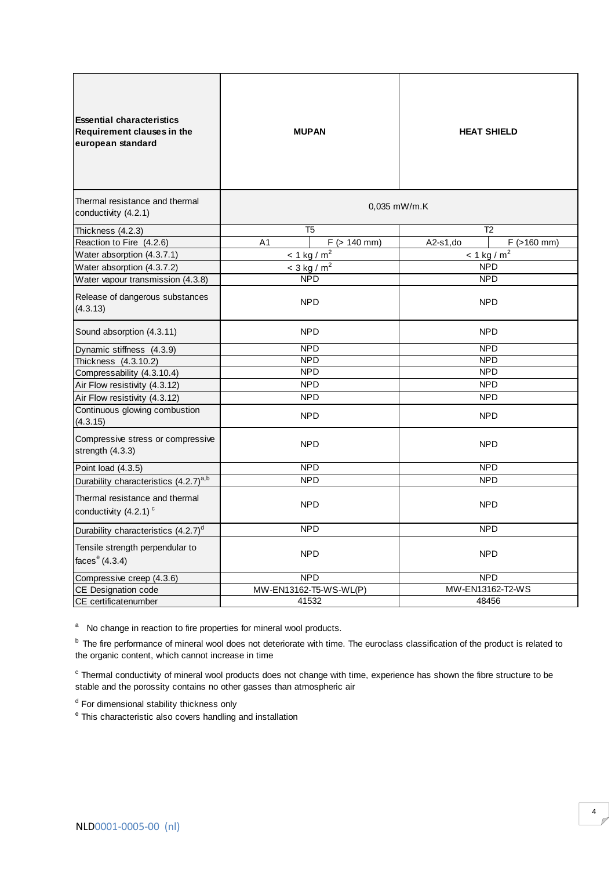| <b>Essential characteristics</b><br>Requirement clauses in the<br>european standard | <b>MUPAN</b>              |                   | <b>HEAT SHIELD</b> |                           |
|-------------------------------------------------------------------------------------|---------------------------|-------------------|--------------------|---------------------------|
| Thermal resistance and thermal<br>conductivity (4.2.1)                              | $0,035$ mW/m.K            |                   |                    |                           |
| Thickness (4.2.3)                                                                   | T5                        |                   | T <sub>2</sub>     |                           |
| Reaction to Fire (4.2.6)                                                            | A <sub>1</sub>            | $F$ ( $> 140$ mm) | A2-s1,do           | $F$ (>160 mm)             |
| Water absorption (4.3.7.1)                                                          | $< 1$ kg / m <sup>2</sup> |                   |                    | $< 1$ kg / m <sup>2</sup> |
| Water absorption (4.3.7.2)                                                          | $<$ 3 kg / m <sup>2</sup> |                   |                    | <b>NPD</b>                |
| Water vapour transmission (4.3.8)                                                   | <b>NPD</b>                |                   | <b>NPD</b>         |                           |
| Release of dangerous substances<br>(4.3.13)                                         | <b>NPD</b>                |                   | <b>NPD</b>         |                           |
| Sound absorption (4.3.11)                                                           | <b>NPD</b>                |                   | <b>NPD</b>         |                           |
| Dynamic stiffness (4.3.9)                                                           | <b>NPD</b>                |                   | <b>NPD</b>         |                           |
| Thickness (4.3.10.2)                                                                | <b>NPD</b>                |                   | <b>NPD</b>         |                           |
| Compressability (4.3.10.4)                                                          | <b>NPD</b>                |                   | <b>NPD</b>         |                           |
| Air Flow resistivity (4.3.12)                                                       | <b>NPD</b>                |                   | <b>NPD</b>         |                           |
| Air Flow resistivity (4.3.12)                                                       | <b>NPD</b>                |                   | <b>NPD</b>         |                           |
| Continuous glowing combustion<br>(4.3.15)                                           | <b>NPD</b>                |                   | <b>NPD</b>         |                           |
| Compressive stress or compressive<br>strength (4.3.3)                               | <b>NPD</b>                |                   | <b>NPD</b>         |                           |
| Point load (4.3.5)                                                                  | <b>NPD</b>                |                   | <b>NPD</b>         |                           |
| Durability characteristics (4.2.7) <sup>a,b</sup>                                   | <b>NPD</b>                |                   | <b>NPD</b>         |                           |
| Thermal resistance and thermal<br>conductivity (4.2.1) <sup>c</sup>                 | <b>NPD</b>                |                   | <b>NPD</b>         |                           |
| Durability characteristics (4.2.7) <sup>d</sup>                                     | <b>NPD</b>                |                   |                    | <b>NPD</b>                |
| Tensile strength perpendular to<br>faces $e(4.3.4)$                                 | <b>NPD</b>                |                   |                    | <b>NPD</b>                |
| Compressive creep (4.3.6)                                                           | <b>NPD</b>                |                   | <b>NPD</b>         |                           |
| CE Designation code                                                                 | MW-EN13162-T5-WS-WL(P)    |                   | MW-EN13162-T2-WS   |                           |
| CE certificatenumber                                                                | 41532                     |                   | 48456              |                           |

<sup>b</sup> The fire performance of mineral wool does not deteriorate with time. The euroclass classification of the product is related to the organic content, which cannot increase in time

 $\textdegree$  Thermal conductivity of mineral wool products does not change with time, experience has shown the fibre structure to be stable and the porossity contains no other gasses than atmospheric air

<sup>d</sup> For dimensional stability thickness only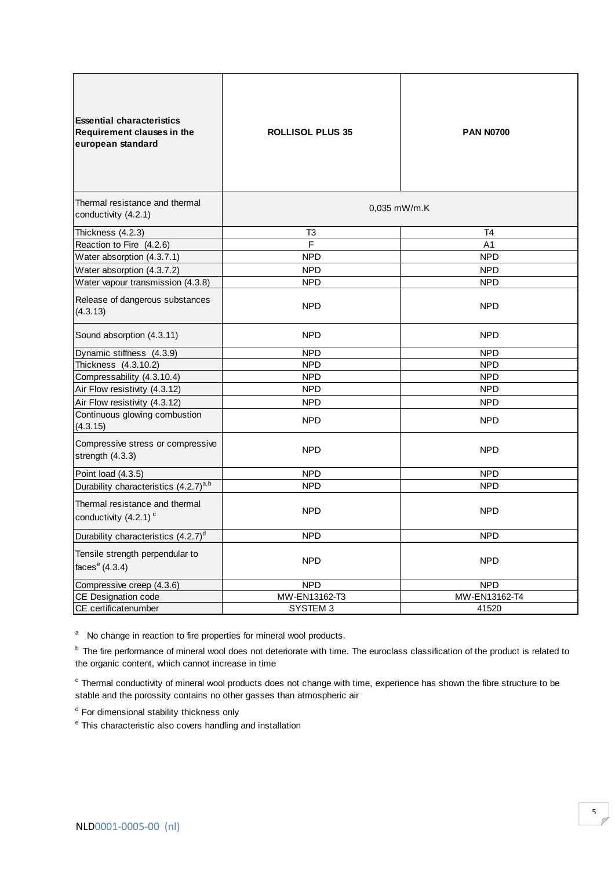| <b>Essential characteristics</b><br>Requirement clauses in the<br>european standard | <b>ROLLISOL PLUS 35</b> | <b>PAN N0700</b> |  |
|-------------------------------------------------------------------------------------|-------------------------|------------------|--|
| Thermal resistance and thermal<br>conductivity (4.2.1)                              | 0,035 mW/m.K            |                  |  |
| Thickness (4.2.3)                                                                   | T3                      | T4               |  |
| Reaction to Fire (4.2.6)                                                            | F                       | A <sub>1</sub>   |  |
| Water absorption (4.3.7.1)                                                          | <b>NPD</b>              | <b>NPD</b>       |  |
| Water absorption (4.3.7.2)                                                          | <b>NPD</b>              | <b>NPD</b>       |  |
| Water vapour transmission (4.3.8)                                                   | <b>NPD</b>              | <b>NPD</b>       |  |
| Release of dangerous substances<br>(4.3.13)                                         | <b>NPD</b>              | <b>NPD</b>       |  |
| Sound absorption (4.3.11)                                                           | <b>NPD</b>              | <b>NPD</b>       |  |
| Dynamic stiffness (4.3.9)                                                           | <b>NPD</b>              | <b>NPD</b>       |  |
| Thickness (4.3.10.2)                                                                | <b>NPD</b>              | <b>NPD</b>       |  |
| Compressability (4.3.10.4)                                                          | <b>NPD</b>              | <b>NPD</b>       |  |
| Air Flow resistivity (4.3.12)                                                       | <b>NPD</b>              | <b>NPD</b>       |  |
| Air Flow resistivity (4.3.12)                                                       | <b>NPD</b>              | <b>NPD</b>       |  |
| Continuous glowing combustion<br>(4.3.15)                                           | NPD.                    | <b>NPD</b>       |  |
| Compressive stress or compressive<br>strength (4.3.3)                               | <b>NPD</b>              | <b>NPD</b>       |  |
| Point load (4.3.5)                                                                  | <b>NPD</b>              | <b>NPD</b>       |  |
| Durability characteristics (4.2.7) <sup>a,b</sup>                                   | <b>NPD</b>              | <b>NPD</b>       |  |
| Thermal resistance and thermal<br>conductivity $(4.2.1)$ <sup>c</sup>               | <b>NPD</b>              | <b>NPD</b>       |  |
| Durability characteristics $(4.2.7)^{d}$                                            | NPD                     | <b>NPD</b>       |  |
| Tensile strength perpendular to<br>faces $e(4.3.4)$                                 | <b>NPD</b>              | <b>NPD</b>       |  |
| Compressive creep (4.3.6)                                                           | <b>NPD</b>              | <b>NPD</b>       |  |
| CE Designation code                                                                 | MW-EN13162-T3           | MW-EN13162-T4    |  |
| CE certificatenumber                                                                | SYSTEM 3                | 41520            |  |
|                                                                                     |                         |                  |  |

<sup>b</sup> The fire performance of mineral wool does not deteriorate with time. The euroclass classification of the product is related to the organic content, which cannot increase in time

 $^{\circ}$  Thermal conductivity of mineral wool products does not<br>stable and the porossity contains no other gasses than a<br> $^{\circ}$  Tor dimensional stability thickness only<br> $^{\circ}$  This characteristic also covers handling and in Thermal conductivity of mineral wool products does not change with time, experience has shown the fibre structure to be stable and the porossity contains no other gasses than atmospheric air

<sup>d</sup> For dimensional stability thickness only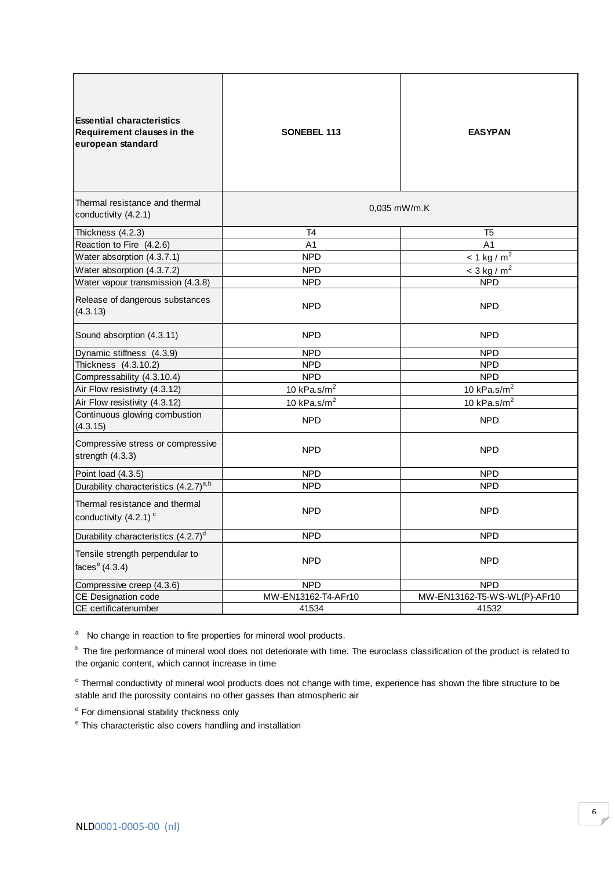| <b>Essential characteristics</b><br><b>Requirement clauses in the</b><br>european standard | <b>SONEBEL 113</b>  | <b>EASYPAN</b>               |  |
|--------------------------------------------------------------------------------------------|---------------------|------------------------------|--|
| Thermal resistance and thermal<br>conductivity (4.2.1)                                     | $0,035$ mW/m.K      |                              |  |
| Thickness (4.2.3)                                                                          | T4                  | T <sub>5</sub>               |  |
| Reaction to Fire (4.2.6)                                                                   | A <sub>1</sub>      | A <sub>1</sub>               |  |
| Water absorption (4.3.7.1)                                                                 | <b>NPD</b>          | $< 1$ kg / m <sup>2</sup>    |  |
| Water absorption (4.3.7.2)                                                                 | <b>NPD</b>          | $<$ 3 kg / m <sup>2</sup>    |  |
| Water vapour transmission (4.3.8)                                                          | <b>NPD</b>          | <b>NPD</b>                   |  |
| Release of dangerous substances<br>(4.3.13)                                                | <b>NPD</b>          | <b>NPD</b>                   |  |
| Sound absorption (4.3.11)                                                                  | <b>NPD</b>          | <b>NPD</b>                   |  |
| Dynamic stiffness (4.3.9)                                                                  | <b>NPD</b>          | <b>NPD</b>                   |  |
| Thickness (4.3.10.2)                                                                       | <b>NPD</b>          | <b>NPD</b>                   |  |
| Compressability (4.3.10.4)                                                                 | <b>NPD</b>          | <b>NPD</b>                   |  |
| Air Flow resistivity (4.3.12)                                                              | 10 kPa.s/ $m2$      | 10 kPa.s/ $m2$               |  |
| Air Flow resistivity (4.3.12)                                                              | 10 $kPa.s/m2$       | 10 kPa.s/ $m2$               |  |
| Continuous glowing combustion<br>(4.3.15)                                                  | <b>NPD</b>          | <b>NPD</b>                   |  |
| Compressive stress or compressive<br>strength (4.3.3)                                      | NPD.                | <b>NPD</b>                   |  |
| Point load (4.3.5)                                                                         | <b>NPD</b>          | <b>NPD</b>                   |  |
| Durability characteristics (4.2.7) <sup>a,b</sup>                                          | <b>NPD</b>          | <b>NPD</b>                   |  |
| Thermal resistance and thermal<br>conductivity $(4.2.1)$ <sup>c</sup>                      | <b>NPD</b>          | <b>NPD</b>                   |  |
| Durability characteristics (4.2.7) <sup>d</sup>                                            | NPD.                | <b>NPD</b>                   |  |
| Tensile strength perpendular to<br>faces $e(4.3.4)$                                        | <b>NPD</b>          | <b>NPD</b>                   |  |
| Compressive creep (4.3.6)                                                                  | <b>NPD</b>          | <b>NPD</b>                   |  |
| CE Designation code                                                                        | MW-EN13162-T4-AFr10 | MW-EN13162-T5-WS-WL(P)-AFr10 |  |
| CE certificatenumber                                                                       | 41534               | 41532                        |  |

<sup>b</sup> The fire performance of mineral wool does not deteriorate with time. The euroclass classification of the product is related to the organic content, which cannot increase in time

 $\rm c$  Thermal conductivity of mineral wool products does not change with time, experience has shown the fibre structure to be stable and the porossity contains no other gasses than atmospheric air

<sup>d</sup> For dimensional stability thickness only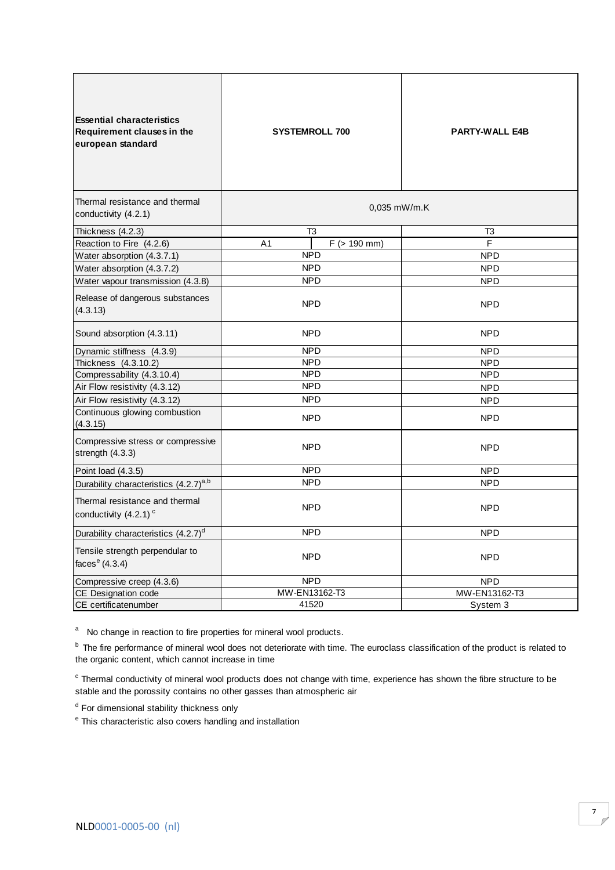| <b>Essential characteristics</b><br>Requirement clauses in the<br>european standard | <b>SYSTEMROLL 700</b>               | <b>PARTY-WALL E4B</b> |  |
|-------------------------------------------------------------------------------------|-------------------------------------|-----------------------|--|
| Thermal resistance and thermal                                                      | $0,035$ mW/m.K                      |                       |  |
| conductivity (4.2.1)                                                                |                                     |                       |  |
| Thickness (4.2.3)                                                                   | T3                                  | T3                    |  |
| Reaction to Fire (4.2.6)                                                            | $F$ ( $> 190$ mm)<br>A <sub>1</sub> | F                     |  |
| Water absorption (4.3.7.1)                                                          | <b>NPD</b>                          | <b>NPD</b>            |  |
| Water absorption (4.3.7.2)                                                          | <b>NPD</b>                          | <b>NPD</b>            |  |
| Water vapour transmission (4.3.8)                                                   | <b>NPD</b>                          | <b>NPD</b>            |  |
| Release of dangerous substances<br>(4.3.13)                                         | <b>NPD</b>                          | <b>NPD</b>            |  |
| Sound absorption (4.3.11)                                                           | <b>NPD</b>                          | <b>NPD</b>            |  |
| Dynamic stiffness (4.3.9)                                                           | <b>NPD</b>                          | <b>NPD</b>            |  |
| Thickness (4.3.10.2)                                                                | <b>NPD</b>                          | <b>NPD</b>            |  |
| Compressability (4.3.10.4)                                                          | <b>NPD</b>                          | <b>NPD</b>            |  |
| Air Flow resistivity (4.3.12)                                                       | <b>NPD</b>                          | <b>NPD</b>            |  |
| Air Flow resistivity (4.3.12)                                                       | <b>NPD</b>                          | <b>NPD</b>            |  |
| Continuous glowing combustion<br>(4.3.15)                                           | <b>NPD</b>                          | <b>NPD</b>            |  |
| Compressive stress or compressive<br>strength (4.3.3)                               | <b>NPD</b>                          | <b>NPD</b>            |  |
| Point load (4.3.5)                                                                  | <b>NPD</b>                          | <b>NPD</b>            |  |
| Durability characteristics (4.2.7) <sup>a,b</sup>                                   | <b>NPD</b>                          | <b>NPD</b>            |  |
| Thermal resistance and thermal<br>conductivity $(4.2.1)$ <sup>c</sup>               | <b>NPD</b>                          | <b>NPD</b>            |  |
| Durability characteristics (4.2.7) <sup>d</sup>                                     | <b>NPD</b>                          | <b>NPD</b>            |  |
| Tensile strength perpendular to<br>faces $e$ (4.3.4)                                | <b>NPD</b>                          | <b>NPD</b>            |  |
| Compressive creep (4.3.6)                                                           | <b>NPD</b>                          | <b>NPD</b>            |  |
| CE Designation code                                                                 | MW-EN13162-T3                       | MW-EN13162-T3         |  |
| CE certificatenumber                                                                | 41520                               | System 3              |  |

<sup>b</sup> The fire performance of mineral wool does not deteriorate with time. The euroclass classification of the product is related to the organic content, which cannot increase in time

<sup>c</sup> Thermal conductivity of mineral wool products does not change with time, experience has shown the fibre structure to be stable and the porossity contains no other gasses than atmospheric air

<sup>d</sup> For dimensional stability thickness only